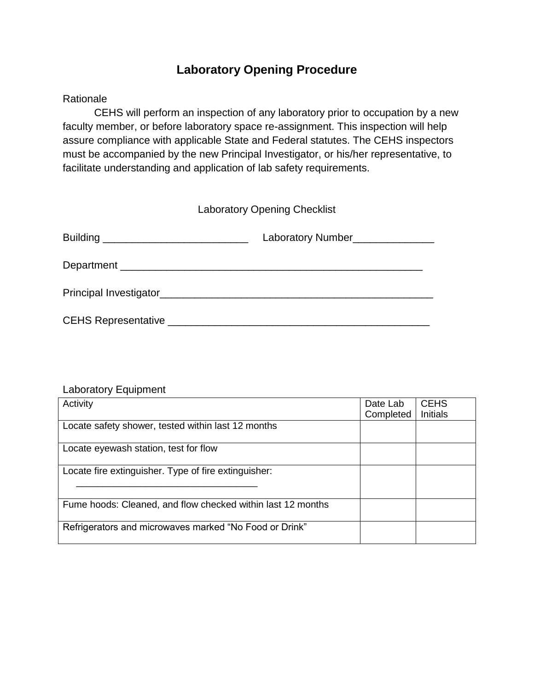### **Laboratory Opening Procedure**

#### Rationale

CEHS will perform an inspection of any laboratory prior to occupation by a new faculty member, or before laboratory space re-assignment. This inspection will help assure compliance with applicable State and Federal statutes. The CEHS inspectors must be accompanied by the new Principal Investigator, or his/her representative, to facilitate understanding and application of lab safety requirements.

| <b>Laboratory Opening Checklist</b> |  |
|-------------------------------------|--|
|-------------------------------------|--|

|                        | Laboratory Number______________ |
|------------------------|---------------------------------|
|                        |                                 |
| Principal Investigator |                                 |
|                        |                                 |

#### Laboratory Equipment

| Activity                                                    | Date Lab  | <b>CEHS</b> |
|-------------------------------------------------------------|-----------|-------------|
|                                                             | Completed | Initials    |
| Locate safety shower, tested within last 12 months          |           |             |
| Locate eyewash station, test for flow                       |           |             |
| Locate fire extinguisher. Type of fire extinguisher:        |           |             |
| Fume hoods: Cleaned, and flow checked within last 12 months |           |             |
| Refrigerators and microwaves marked "No Food or Drink"      |           |             |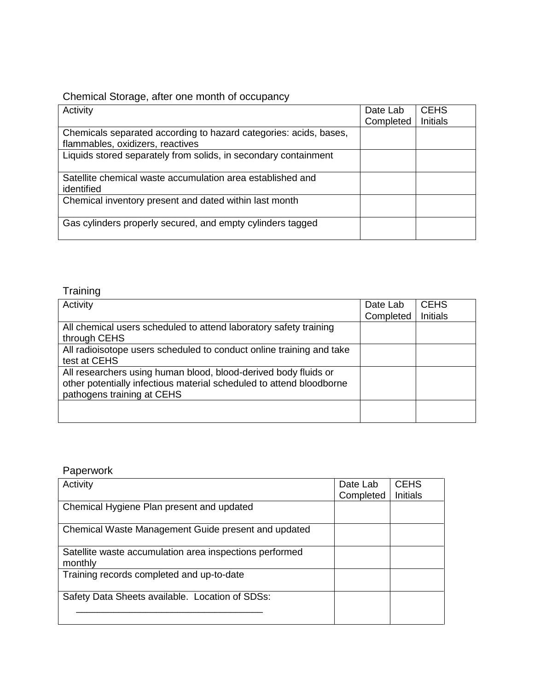### Chemical Storage, after one month of occupancy

| Activity                                                                                              | Date Lab<br>Completed | <b>CEHS</b><br>Initials |
|-------------------------------------------------------------------------------------------------------|-----------------------|-------------------------|
| Chemicals separated according to hazard categories: acids, bases,<br>flammables, oxidizers, reactives |                       |                         |
| Liquids stored separately from solids, in secondary containment                                       |                       |                         |
| Satellite chemical waste accumulation area established and<br>identified                              |                       |                         |
| Chemical inventory present and dated within last month                                                |                       |                         |
| Gas cylinders properly secured, and empty cylinders tagged                                            |                       |                         |

## Training

| Activity                                                             | Date Lab  | <b>CEHS</b> |
|----------------------------------------------------------------------|-----------|-------------|
|                                                                      | Completed | Initials    |
| All chemical users scheduled to attend laboratory safety training    |           |             |
| through CEHS                                                         |           |             |
| All radioisotope users scheduled to conduct online training and take |           |             |
| test at CEHS                                                         |           |             |
| All researchers using human blood, blood-derived body fluids or      |           |             |
| other potentially infectious material scheduled to attend bloodborne |           |             |
| pathogens training at CEHS                                           |           |             |
|                                                                      |           |             |
|                                                                      |           |             |

## Paperwork

| Activity                                                           | Date Lab  | <b>CEHS</b>     |
|--------------------------------------------------------------------|-----------|-----------------|
|                                                                    | Completed | <b>Initials</b> |
| Chemical Hygiene Plan present and updated                          |           |                 |
| Chemical Waste Management Guide present and updated                |           |                 |
| Satellite waste accumulation area inspections performed<br>monthly |           |                 |
| Training records completed and up-to-date                          |           |                 |
| Safety Data Sheets available. Location of SDSs:                    |           |                 |